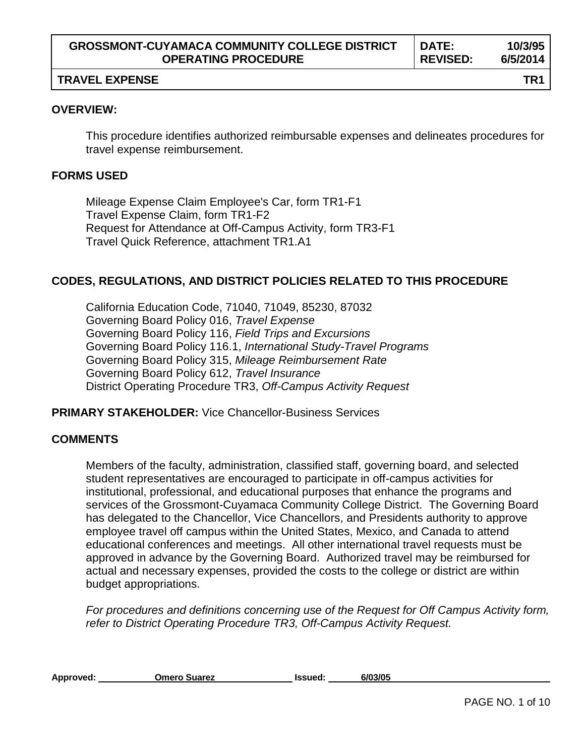#### **OVERVIEW:**

This procedure identifies authorized reimbursable expenses and delineates procedures for travel expense reimbursement.

#### **FORMS USED**

Mileage Expense Claim Employee's Car, form TR1-F1 Travel Expense Claim, form TR1-F2 Request for Attendance at Off-Campus Activity, form TR3-F1 Travel Quick Reference, attachment TR1.A1

### **CODES, REGULATIONS, AND DISTRICT POLICIES RELATED TO THIS PROCEDURE**

California Education Code, 71040, 71049, 85230, 87032 Governing Board Policy 016, *Travel Expense* Governing Board Policy 116, *Field Trips and Excursions* Governing Board Policy 116.1, *International Study-Travel Programs* Governing Board Policy 315, *Mileage Reimbursement Rate* Governing Board Policy 612, *Travel Insurance* District Operating Procedure TR3, *Off-Campus Activity Request*

**PRIMARY STAKEHOLDER:** Vice Chancellor-Business Services

#### **COMMENTS**

Members of the faculty, administration, classified staff, governing board, and selected student representatives are encouraged to participate in off-campus activities for institutional, professional, and educational purposes that enhance the programs and services of the Grossmont-Cuyamaca Community College District. The Governing Board has delegated to the Chancellor, Vice Chancellors, and Presidents authority to approve employee travel off campus within the United States, Mexico, and Canada to attend educational conferences and meetings. All other international travel requests must be approved in advance by the Governing Board. Authorized travel may be reimbursed for actual and necessary expenses, provided the costs to the college or district are within budget appropriations.

*For procedures and definitions concerning use of the Request for Off Campus Activity form, refer to District Operating Procedure TR3, Off-Campus Activity Request.*

| Approved: | <b>Omero Suarez</b> | <b>Issued:</b> | 6/03/05 |
|-----------|---------------------|----------------|---------|
|           |                     |                |         |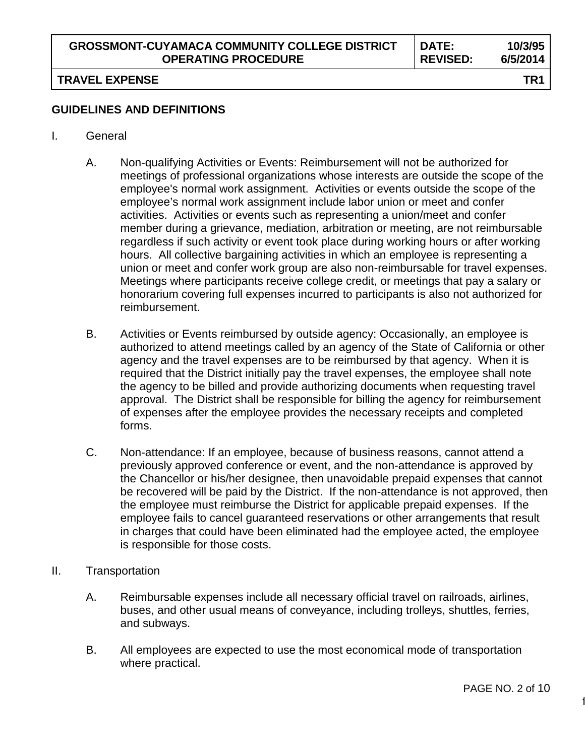# **GUIDELINES AND DEFINITIONS**

## I. General

- A. Non-qualifying Activities or Events: Reimbursement will not be authorized for meetings of professional organizations whose interests are outside the scope of the employee's normal work assignment. Activities or events outside the scope of the employee's normal work assignment include labor union or meet and confer activities. Activities or events such as representing a union/meet and confer member during a grievance, mediation, arbitration or meeting, are not reimbursable regardless if such activity or event took place during working hours or after working hours. All collective bargaining activities in which an employee is representing a union or meet and confer work group are also non-reimbursable for travel expenses. Meetings where participants receive college credit, or meetings that pay a salary or honorarium covering full expenses incurred to participants is also not authorized for reimbursement.
- B. Activities or Events reimbursed by outside agency: Occasionally, an employee is authorized to attend meetings called by an agency of the State of California or other agency and the travel expenses are to be reimbursed by that agency. When it is required that the District initially pay the travel expenses, the employee shall note the agency to be billed and provide authorizing documents when requesting travel approval. The District shall be responsible for billing the agency for reimbursement of expenses after the employee provides the necessary receipts and completed forms.
- C. Non-attendance: If an employee, because of business reasons, cannot attend a previously approved conference or event, and the non-attendance is approved by the Chancellor or his/her designee, then unavoidable prepaid expenses that cannot be recovered will be paid by the District. If the non-attendance is not approved, then the employee must reimburse the District for applicable prepaid expenses. If the employee fails to cancel guaranteed reservations or other arrangements that result in charges that could have been eliminated had the employee acted, the employee is responsible for those costs.
- II. Transportation
	- A. Reimbursable expenses include all necessary official travel on railroads, airlines, buses, and other usual means of conveyance, including trolleys, shuttles, ferries, and subways.
	- B. All employees are expected to use the most economical mode of transportation where practical.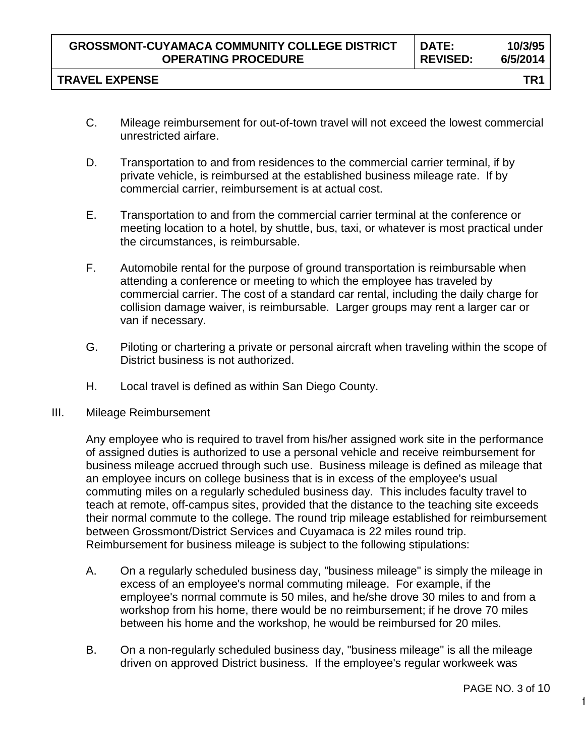## **TRAVEL EXPENSE TR1**

- C. Mileage reimbursement for out-of-town travel will not exceed the lowest commercial unrestricted airfare.
- D. Transportation to and from residences to the commercial carrier terminal, if by private vehicle, is reimbursed at the established business mileage rate. If by commercial carrier, reimbursement is at actual cost.
- E. Transportation to and from the commercial carrier terminal at the conference or meeting location to a hotel, by shuttle, bus, taxi, or whatever is most practical under the circumstances, is reimbursable.
- F. Automobile rental for the purpose of ground transportation is reimbursable when attending a conference or meeting to which the employee has traveled by commercial carrier. The cost of a standard car rental, including the daily charge for collision damage waiver, is reimbursable. Larger groups may rent a larger car or van if necessary.
- G. Piloting or chartering a private or personal aircraft when traveling within the scope of District business is not authorized.
- H. Local travel is defined as within San Diego County.
- III. Mileage Reimbursement

Any employee who is required to travel from his/her assigned work site in the performance of assigned duties is authorized to use a personal vehicle and receive reimbursement for business mileage accrued through such use. Business mileage is defined as mileage that an employee incurs on college business that is in excess of the employee's usual commuting miles on a regularly scheduled business day. This includes faculty travel to teach at remote, off-campus sites, provided that the distance to the teaching site exceeds their normal commute to the college. The round trip mileage established for reimbursement between Grossmont/District Services and Cuyamaca is 22 miles round trip. Reimbursement for business mileage is subject to the following stipulations:

- A. On a regularly scheduled business day, "business mileage" is simply the mileage in excess of an employee's normal commuting mileage. For example, if the employee's normal commute is 50 miles, and he/she drove 30 miles to and from a workshop from his home, there would be no reimbursement; if he drove 70 miles between his home and the workshop, he would be reimbursed for 20 miles.
- B. On a non-regularly scheduled business day, "business mileage" is all the mileage driven on approved District business. If the employee's regular workweek was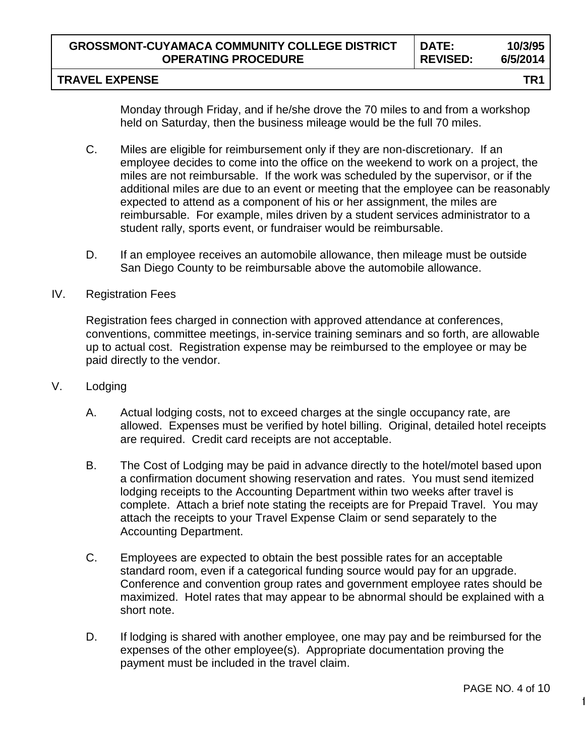# **TRAVEL EXPENSE TR1**

Monday through Friday, and if he/she drove the 70 miles to and from a workshop held on Saturday, then the business mileage would be the full 70 miles.

- C. Miles are eligible for reimbursement only if they are non-discretionary. If an employee decides to come into the office on the weekend to work on a project, the miles are not reimbursable. If the work was scheduled by the supervisor, or if the additional miles are due to an event or meeting that the employee can be reasonably expected to attend as a component of his or her assignment, the miles are reimbursable. For example, miles driven by a student services administrator to a student rally, sports event, or fundraiser would be reimbursable.
- D. If an employee receives an automobile allowance, then mileage must be outside San Diego County to be reimbursable above the automobile allowance.

## IV. Registration Fees

Registration fees charged in connection with approved attendance at conferences, conventions, committee meetings, in-service training seminars and so forth, are allowable up to actual cost. Registration expense may be reimbursed to the employee or may be paid directly to the vendor.

- V. Lodging
	- A. Actual lodging costs, not to exceed charges at the single occupancy rate, are allowed. Expenses must be verified by hotel billing. Original, detailed hotel receipts are required. Credit card receipts are not acceptable.
	- B. The Cost of Lodging may be paid in advance directly to the hotel/motel based upon a confirmation document showing reservation and rates. You must send itemized lodging receipts to the Accounting Department within two weeks after travel is complete. Attach a brief note stating the receipts are for Prepaid Travel. You may attach the receipts to your Travel Expense Claim or send separately to the Accounting Department.
	- C. Employees are expected to obtain the best possible rates for an acceptable standard room, even if a categorical funding source would pay for an upgrade. Conference and convention group rates and government employee rates should be maximized. Hotel rates that may appear to be abnormal should be explained with a short note.
	- D. If lodging is shared with another employee, one may pay and be reimbursed for the expenses of the other employee(s). Appropriate documentation proving the payment must be included in the travel claim.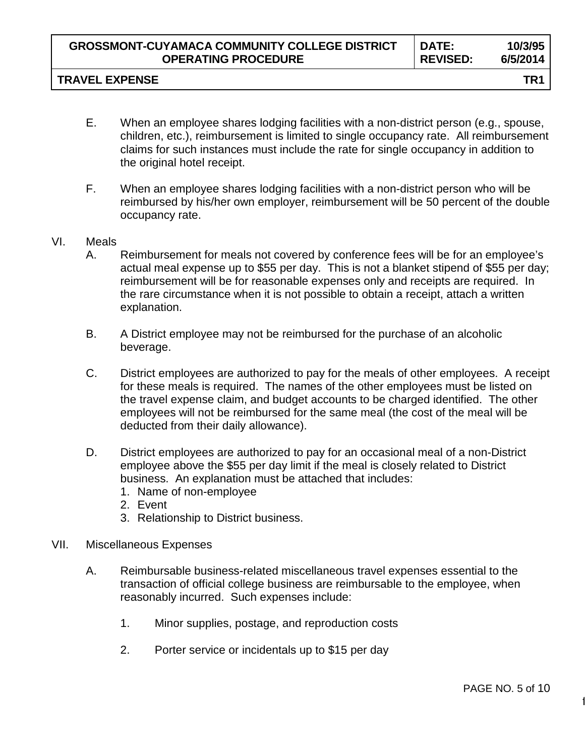### **TRAVEL EXPENSE TR1**

- E. When an employee shares lodging facilities with a non-district person (e.g., spouse, children, etc.), reimbursement is limited to single occupancy rate. All reimbursement claims for such instances must include the rate for single occupancy in addition to the original hotel receipt.
- F. When an employee shares lodging facilities with a non-district person who will be reimbursed by his/her own employer, reimbursement will be 50 percent of the double occupancy rate.

### VI. Meals

- A. Reimbursement for meals not covered by conference fees will be for an employee's actual meal expense up to \$55 per day. This is not a blanket stipend of \$55 per day; reimbursement will be for reasonable expenses only and receipts are required. In the rare circumstance when it is not possible to obtain a receipt, attach a written explanation.
- B. A District employee may not be reimbursed for the purchase of an alcoholic beverage.
- C. District employees are authorized to pay for the meals of other employees. A receipt for these meals is required. The names of the other employees must be listed on the travel expense claim, and budget accounts to be charged identified. The other employees will not be reimbursed for the same meal (the cost of the meal will be deducted from their daily allowance).
- D. District employees are authorized to pay for an occasional meal of a non-District employee above the \$55 per day limit if the meal is closely related to District business. An explanation must be attached that includes:
	- 1. Name of non-employee
	- 2. Event
	- 3. Relationship to District business.
- VII. Miscellaneous Expenses
	- A. Reimbursable business-related miscellaneous travel expenses essential to the transaction of official college business are reimbursable to the employee, when reasonably incurred. Such expenses include:
		- 1. Minor supplies, postage, and reproduction costs
		- 2. Porter service or incidentals up to \$15 per day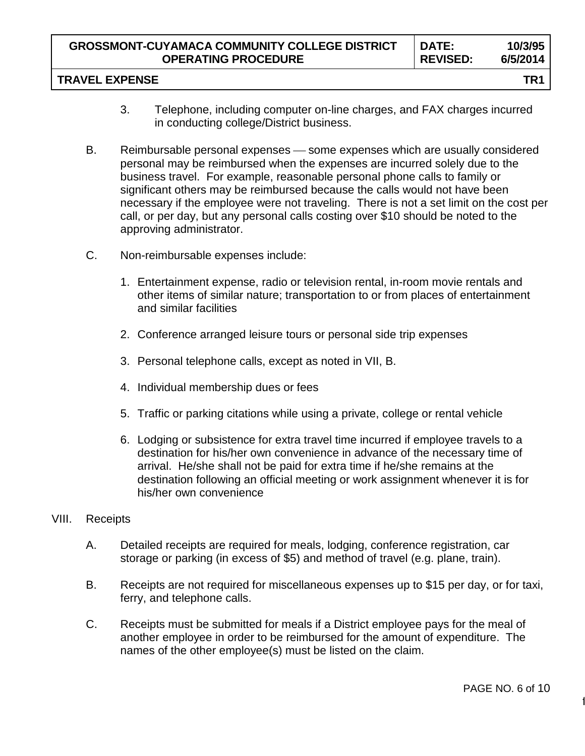- 
- 3. Telephone, including computer on-line charges, and FAX charges incurred in conducting college/District business.
- B. Reimbursable personal expenses some expenses which are usually considered personal may be reimbursed when the expenses are incurred solely due to the business travel. For example, reasonable personal phone calls to family or significant others may be reimbursed because the calls would not have been necessary if the employee were not traveling. There is not a set limit on the cost per call, or per day, but any personal calls costing over \$10 should be noted to the approving administrator.
- C. Non-reimbursable expenses include:
	- 1. Entertainment expense, radio or television rental, in-room movie rentals and other items of similar nature; transportation to or from places of entertainment and similar facilities
	- 2. Conference arranged leisure tours or personal side trip expenses
	- 3. Personal telephone calls, except as noted in VII, B.
	- 4. Individual membership dues or fees
	- 5. Traffic or parking citations while using a private, college or rental vehicle
	- 6. Lodging or subsistence for extra travel time incurred if employee travels to a destination for his/her own convenience in advance of the necessary time of arrival. He/she shall not be paid for extra time if he/she remains at the destination following an official meeting or work assignment whenever it is for his/her own convenience
- VIII. Receipts
	- A. Detailed receipts are required for meals, lodging, conference registration, car storage or parking (in excess of \$5) and method of travel (e.g. plane, train).
	- B. Receipts are not required for miscellaneous expenses up to \$15 per day, or for taxi, ferry, and telephone calls.
	- C. Receipts must be submitted for meals if a District employee pays for the meal of another employee in order to be reimbursed for the amount of expenditure. The names of the other employee(s) must be listed on the claim.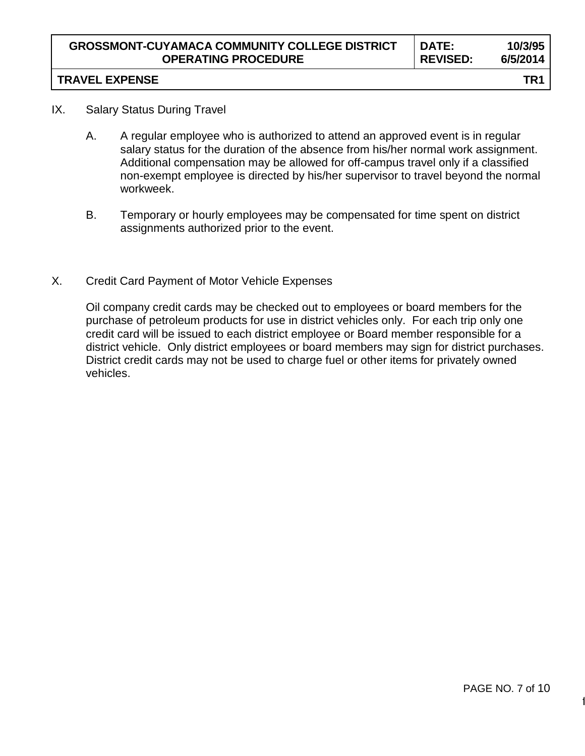## IX. Salary Status During Travel

- A. A regular employee who is authorized to attend an approved event is in regular salary status for the duration of the absence from his/her normal work assignment. Additional compensation may be allowed for off-campus travel only if a classified non-exempt employee is directed by his/her supervisor to travel beyond the normal workweek.
- B. Temporary or hourly employees may be compensated for time spent on district assignments authorized prior to the event.
- X. Credit Card Payment of Motor Vehicle Expenses

Oil company credit cards may be checked out to employees or board members for the purchase of petroleum products for use in district vehicles only. For each trip only one credit card will be issued to each district employee or Board member responsible for a district vehicle. Only district employees or board members may sign for district purchases. District credit cards may not be used to charge fuel or other items for privately owned vehicles.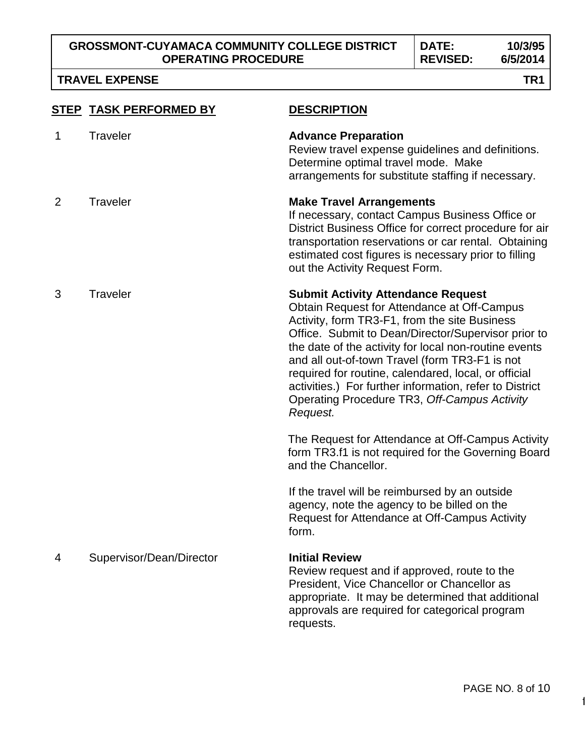## **TRAVEL EXPENSE TR1**

|                | <b>STEP TASK PERFORMED BY</b> | <b>DESCRIPTION</b>                                                                                                                                                                                                                                                                                                                                                                                                                                                                         |
|----------------|-------------------------------|--------------------------------------------------------------------------------------------------------------------------------------------------------------------------------------------------------------------------------------------------------------------------------------------------------------------------------------------------------------------------------------------------------------------------------------------------------------------------------------------|
| 1              | <b>Traveler</b>               | <b>Advance Preparation</b><br>Review travel expense guidelines and definitions.<br>Determine optimal travel mode. Make<br>arrangements for substitute staffing if necessary.                                                                                                                                                                                                                                                                                                               |
| $\overline{2}$ | Traveler                      | <b>Make Travel Arrangements</b><br>If necessary, contact Campus Business Office or<br>District Business Office for correct procedure for air<br>transportation reservations or car rental. Obtaining<br>estimated cost figures is necessary prior to filling<br>out the Activity Request Form.                                                                                                                                                                                             |
| 3              | Traveler                      | <b>Submit Activity Attendance Request</b><br>Obtain Request for Attendance at Off-Campus<br>Activity, form TR3-F1, from the site Business<br>Office. Submit to Dean/Director/Supervisor prior to<br>the date of the activity for local non-routine events<br>and all out-of-town Travel (form TR3-F1 is not<br>required for routine, calendared, local, or official<br>activities.) For further information, refer to District<br>Operating Procedure TR3, Off-Campus Activity<br>Request. |
|                |                               | The Request for Attendance at Off-Campus Activity<br>form TR3.f1 is not required for the Governing Board<br>and the Chancellor.                                                                                                                                                                                                                                                                                                                                                            |
|                |                               | If the travel will be reimbursed by an outside<br>agency, note the agency to be billed on the<br>Request for Attendance at Off-Campus Activity<br>form.                                                                                                                                                                                                                                                                                                                                    |
| 4              | Supervisor/Dean/Director      | <b>Initial Review</b><br>Review request and if approved, route to the<br>President, Vice Chancellor or Chancellor as<br>appropriate. It may be determined that additional<br>approvals are required for categorical program<br>requests.                                                                                                                                                                                                                                                   |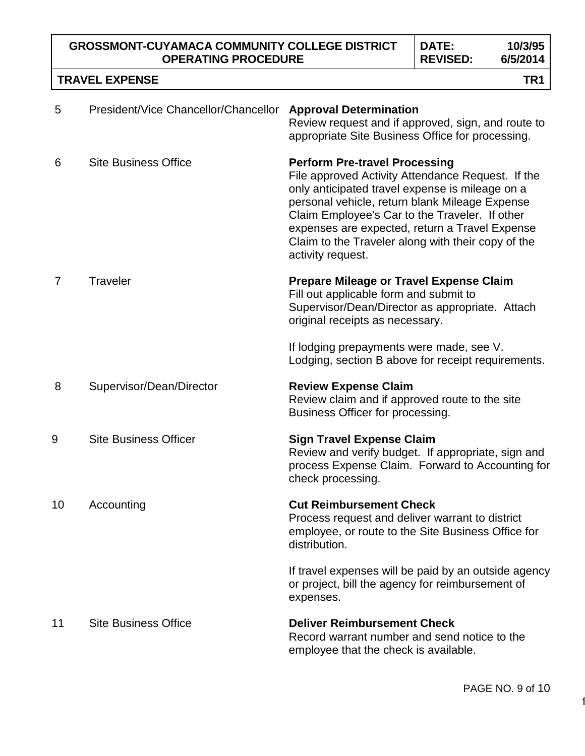**REVISED: 6/5/2014**

**DATE: 10/3/95**

|    | TR <sub>1</sub><br><b>TRAVEL EXPENSE</b> |                                                                                                                                                                                                                                                                                                                                                                               |  |  |  |
|----|------------------------------------------|-------------------------------------------------------------------------------------------------------------------------------------------------------------------------------------------------------------------------------------------------------------------------------------------------------------------------------------------------------------------------------|--|--|--|
| 5  | President/Vice Chancellor/Chancellor     | <b>Approval Determination</b><br>Review request and if approved, sign, and route to<br>appropriate Site Business Office for processing.                                                                                                                                                                                                                                       |  |  |  |
| 6  | <b>Site Business Office</b>              | <b>Perform Pre-travel Processing</b><br>File approved Activity Attendance Request. If the<br>only anticipated travel expense is mileage on a<br>personal vehicle, return blank Mileage Expense<br>Claim Employee's Car to the Traveler. If other<br>expenses are expected, return a Travel Expense<br>Claim to the Traveler along with their copy of the<br>activity request. |  |  |  |
| 7  | Traveler                                 | <b>Prepare Mileage or Travel Expense Claim</b><br>Fill out applicable form and submit to<br>Supervisor/Dean/Director as appropriate. Attach<br>original receipts as necessary.                                                                                                                                                                                                |  |  |  |
|    |                                          | If lodging prepayments were made, see V.<br>Lodging, section B above for receipt requirements.                                                                                                                                                                                                                                                                                |  |  |  |
| 8  | Supervisor/Dean/Director                 | <b>Review Expense Claim</b><br>Review claim and if approved route to the site<br>Business Officer for processing.                                                                                                                                                                                                                                                             |  |  |  |
| 9  | <b>Site Business Officer</b>             | <b>Sign Travel Expense Claim</b><br>Review and verify budget. If appropriate, sign and<br>process Expense Claim. Forward to Accounting for<br>check processing.                                                                                                                                                                                                               |  |  |  |
| 10 | Accounting                               | <b>Cut Reimbursement Check</b><br>Process request and deliver warrant to district<br>employee, or route to the Site Business Office for<br>distribution.                                                                                                                                                                                                                      |  |  |  |
|    |                                          | If travel expenses will be paid by an outside agency<br>or project, bill the agency for reimbursement of<br>expenses.                                                                                                                                                                                                                                                         |  |  |  |
| 11 | <b>Site Business Office</b>              | <b>Deliver Reimbursement Check</b><br>Record warrant number and send notice to the<br>employee that the check is available.                                                                                                                                                                                                                                                   |  |  |  |